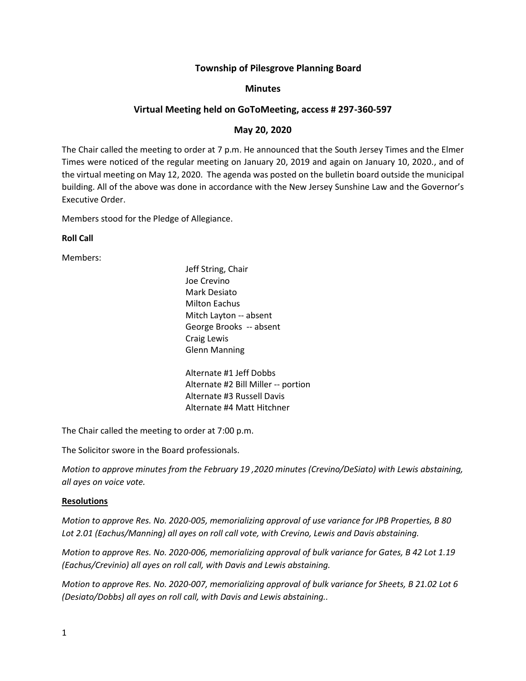# **Township of Pilesgrove Planning Board**

# **Minutes**

# **Virtual Meeting held on GoToMeeting, access # 297-360-597**

# **May 20, 2020**

The Chair called the meeting to order at 7 p.m. He announced that the South Jersey Times and the Elmer Times were noticed of the regular meeting on January 20, 2019 and again on January 10, 2020., and of the virtual meeting on May 12, 2020. The agenda was posted on the bulletin board outside the municipal building. All of the above was done in accordance with the New Jersey Sunshine Law and the Governor's Executive Order.

Members stood for the Pledge of Allegiance.

**Roll Call**

Members:

Jeff String, Chair Joe Crevino Mark Desiato Milton Eachus Mitch Layton -- absent George Brooks -- absent Craig Lewis Glenn Manning

Alternate #1 Jeff Dobbs Alternate #2 Bill Miller -- portion Alternate #3 Russell Davis Alternate #4 Matt Hitchner

The Chair called the meeting to order at 7:00 p.m.

The Solicitor swore in the Board professionals.

*Motion to approve minutes from the February 19 ,2020 minutes (Crevino/DeSiato) with Lewis abstaining, all ayes on voice vote.*

### **Resolutions**

*Motion to approve Res. No. 2020-005, memorializing approval of use variance for JPB Properties, B 80 Lot 2.01 (Eachus/Manning) all ayes on roll call vote, with Crevino, Lewis and Davis abstaining.*

*Motion to approve Res. No. 2020-006, memorializing approval of bulk variance for Gates, B 42 Lot 1.19 (Eachus/Crevinio) all ayes on roll call, with Davis and Lewis abstaining.*

*Motion to approve Res. No. 2020-007, memorializing approval of bulk variance for Sheets, B 21.02 Lot 6 (Desiato/Dobbs) all ayes on roll call, with Davis and Lewis abstaining..*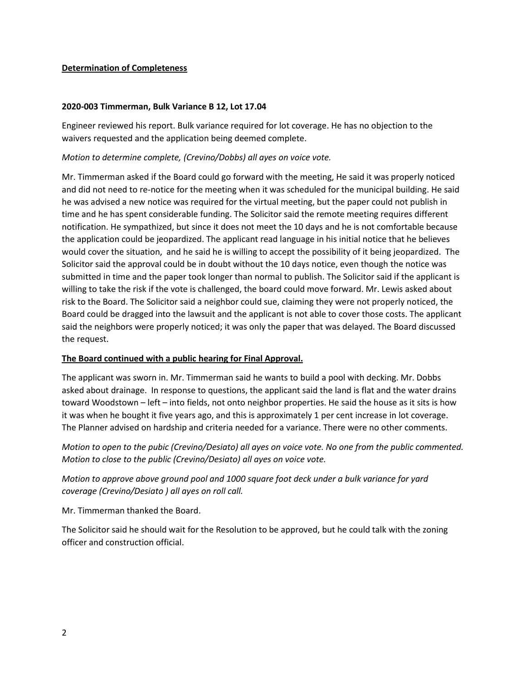# **Determination of Completeness**

# **2020-003 Timmerman, Bulk Variance B 12, Lot 17.04**

Engineer reviewed his report. Bulk variance required for lot coverage. He has no objection to the waivers requested and the application being deemed complete.

# *Motion to determine complete, (Crevino/Dobbs) all ayes on voice vote.*

Mr. Timmerman asked if the Board could go forward with the meeting, He said it was properly noticed and did not need to re-notice for the meeting when it was scheduled for the municipal building. He said he was advised a new notice was required for the virtual meeting, but the paper could not publish in time and he has spent considerable funding. The Solicitor said the remote meeting requires different notification. He sympathized, but since it does not meet the 10 days and he is not comfortable because the application could be jeopardized. The applicant read language in his initial notice that he believes would cover the situation, and he said he is willing to accept the possibility of it being jeopardized. The Solicitor said the approval could be in doubt without the 10 days notice, even though the notice was submitted in time and the paper took longer than normal to publish. The Solicitor said if the applicant is willing to take the risk if the vote is challenged, the board could move forward. Mr. Lewis asked about risk to the Board. The Solicitor said a neighbor could sue, claiming they were not properly noticed, the Board could be dragged into the lawsuit and the applicant is not able to cover those costs. The applicant said the neighbors were properly noticed; it was only the paper that was delayed. The Board discussed the request.

# **The Board continued with a public hearing for Final Approval.**

The applicant was sworn in. Mr. Timmerman said he wants to build a pool with decking. Mr. Dobbs asked about drainage. In response to questions, the applicant said the land is flat and the water drains toward Woodstown – left – into fields, not onto neighbor properties. He said the house as it sits is how it was when he bought it five years ago, and this is approximately 1 per cent increase in lot coverage. The Planner advised on hardship and criteria needed for a variance. There were no other comments.

*Motion to open to the pubic (Crevino/Desiato) all ayes on voice vote. No one from the public commented. Motion to close to the public (Crevino/Desiato) all ayes on voice vote.* 

*Motion to approve above ground pool and 1000 square foot deck under a bulk variance for yard coverage (Crevino/Desiato ) all ayes on roll call.*

Mr. Timmerman thanked the Board.

The Solicitor said he should wait for the Resolution to be approved, but he could talk with the zoning officer and construction official.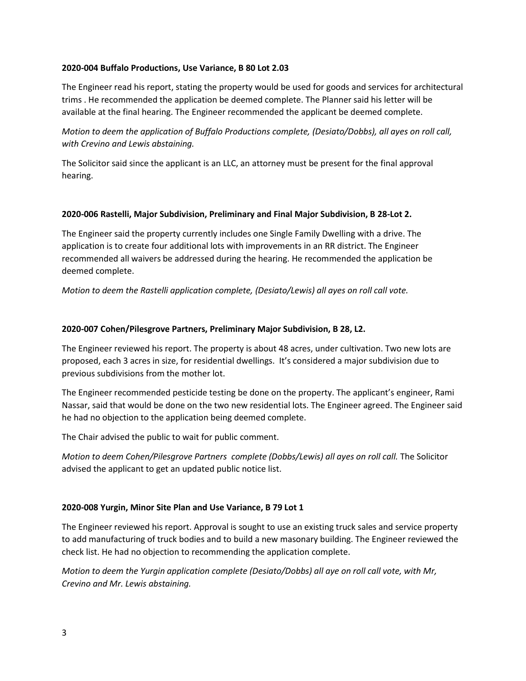### **2020-004 Buffalo Productions, Use Variance, B 80 Lot 2.03**

The Engineer read his report, stating the property would be used for goods and services for architectural trims . He recommended the application be deemed complete. The Planner said his letter will be available at the final hearing. The Engineer recommended the applicant be deemed complete.

*Motion to deem the application of Buffalo Productions complete, (Desiato/Dobbs), all ayes on roll call, with Crevino and Lewis abstaining.*

The Solicitor said since the applicant is an LLC, an attorney must be present for the final approval hearing.

### **2020-006 Rastelli, Major Subdivision, Preliminary and Final Major Subdivision, B 28-Lot 2.**

The Engineer said the property currently includes one Single Family Dwelling with a drive. The application is to create four additional lots with improvements in an RR district. The Engineer recommended all waivers be addressed during the hearing. He recommended the application be deemed complete.

*Motion to deem the Rastelli application complete, (Desiato/Lewis) all ayes on roll call vote.*

### **2020-007 Cohen/Pilesgrove Partners, Preliminary Major Subdivision, B 28, L2.**

The Engineer reviewed his report. The property is about 48 acres, under cultivation. Two new lots are proposed, each 3 acres in size, for residential dwellings. It's considered a major subdivision due to previous subdivisions from the mother lot.

The Engineer recommended pesticide testing be done on the property. The applicant's engineer, Rami Nassar, said that would be done on the two new residential lots. The Engineer agreed. The Engineer said he had no objection to the application being deemed complete.

The Chair advised the public to wait for public comment.

*Motion to deem Cohen/Pilesgrove Partners complete (Dobbs/Lewis) all ayes on roll call.* The Solicitor advised the applicant to get an updated public notice list.

#### **2020-008 Yurgin, Minor Site Plan and Use Variance, B 79 Lot 1**

The Engineer reviewed his report. Approval is sought to use an existing truck sales and service property to add manufacturing of truck bodies and to build a new masonary building. The Engineer reviewed the check list. He had no objection to recommending the application complete.

*Motion to deem the Yurgin application complete (Desiato/Dobbs) all aye on roll call vote, with Mr, Crevino and Mr. Lewis abstaining.*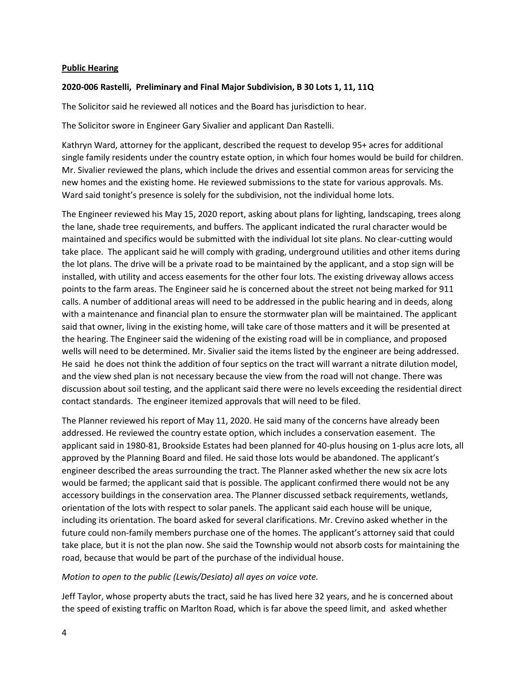### **Public Hearing**

### **2020-006 Rastelli, Preliminary and Final Major Subdivision, B 30 Lots 1, 11, 11Q**

The Solicitor said he reviewed all notices and the Board has jurisdiction to hear.

The Solicitor swore in Engineer Gary Sivalier and applicant Dan Rastelli.

Kathryn Ward, attorney for the applicant, described the request to develop 95+ acres for additional single family residents under the country estate option, in which four homes would be build for children. Mr. Sivalier reviewed the plans, which include the drives and essential common areas for servicing the new homes and the existing home. He reviewed submissions to the state for various approvals. Ms. Ward said tonight's presence is solely for the subdivision, not the individual home lots.

The Engineer reviewed his May 15, 2020 report, asking about plans for lighting, landscaping, trees along the lane, shade tree requirements, and buffers. The applicant indicated the rural character would be maintained and specifics would be submitted with the individual lot site plans. No clear-cutting would take place. The applicant said he will comply with grading, underground utilities and other items during the lot plans. The drive will be a private road to be maintained by the applicant, and a stop sign will be installed, with utility and access easements for the other four lots. The existing driveway allows access points to the farm areas. The Engineer said he is concerned about the street not being marked for 911 calls. A number of additional areas will need to be addressed in the public hearing and in deeds, along with a maintenance and financial plan to ensure the stormwater plan will be maintained. The applicant said that owner, living in the existing home, will take care of those matters and it will be presented at the hearing. The Engineer said the widening of the existing road will be in compliance, and proposed wells will need to be determined. Mr. Sivalier said the items listed by the engineer are being addressed. He said he does not think the addition of four septics on the tract will warrant a nitrate dilution model, and the view shed plan is not necessary because the view from the road will not change. There was discussion about soil testing, and the applicant said there were no levels exceeding the residential direct contact standards. The engineer itemized approvals that will need to be filed.

The Planner reviewed his report of May 11, 2020. He said many of the concerns have already been addressed. He reviewed the country estate option, which includes a conservation easement. The applicant said in 1980-81, Brookside Estates had been planned for 40-plus housing on 1-plus acre lots, all approved by the Planning Board and filed. He said those lots would be abandoned. The applicant's engineer described the areas surrounding the tract. The Planner asked whether the new six acre lots would be farmed; the applicant said that is possible. The applicant confirmed there would not be any accessory buildings in the conservation area. The Planner discussed setback requirements, wetlands, orientation of the lots with respect to solar panels. The applicant said each house will be unique, including its orientation. The board asked for several clarifications. Mr. Crevino asked whether in the future could non-family members purchase one of the homes. The applicant's attorney said that could take place, but it is not the plan now. She said the Township would not absorb costs for maintaining the road, because that would be part of the purchase of the individual house.

#### *Motion to open to the public (Lewis/Desiato) all ayes on voice vote.*

Jeff Taylor, whose property abuts the tract, said he has lived here 32 years, and he is concerned about the speed of existing traffic on Marlton Road, which is far above the speed limit, and asked whether